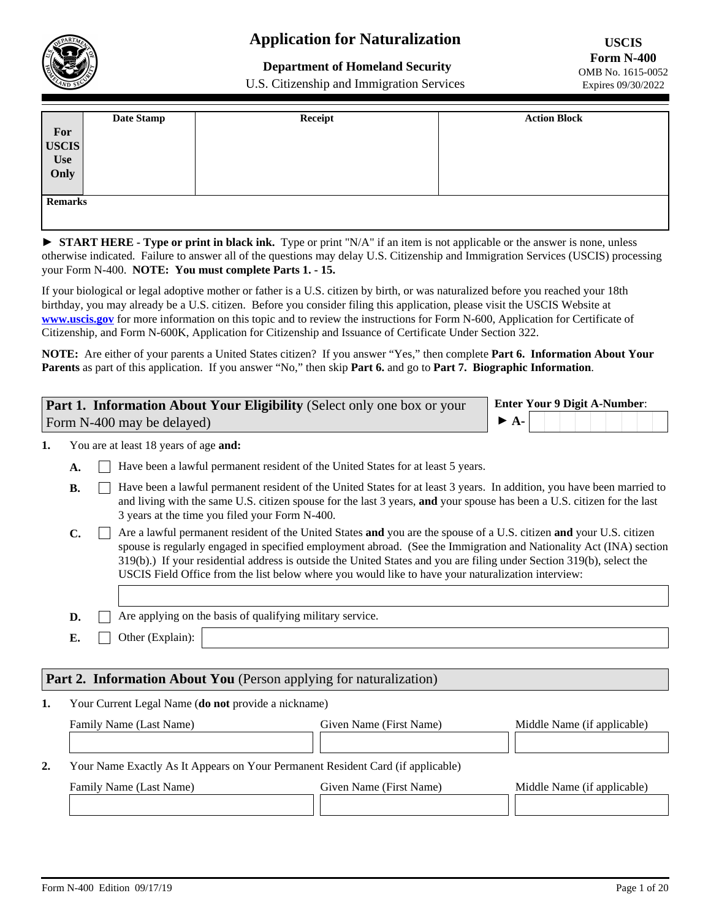

# **Application for Naturalization**

**Department of Homeland Security** 

U.S. Citizenship and Immigration Services

|                             | Date Stamp | Receipt | <b>Action Block</b> |
|-----------------------------|------------|---------|---------------------|
|                             |            |         |                     |
| For<br>USCIS<br>Use<br>Only |            |         |                     |
|                             |            |         |                     |
|                             |            |         |                     |
|                             |            |         |                     |
| <b>Remarks</b>              |            |         |                     |
|                             |            |         |                     |

► START HERE - Type or print in black ink. Type or print "N/A" if an item is not applicable or the answer is none, unless otherwise indicated. Failure to answer all of the questions may delay U.S. Citizenship and Immigration Services (USCIS) processing your Form N-400. **NOTE: You must complete Parts 1. - 15.**

If your biological or legal adoptive mother or father is a U.S. citizen by birth, or was naturalized before you reached your 18th birthday, you may already be a U.S. citizen. Before you consider filing this application, please visit the USCIS Website at **<www.uscis.gov>** for more information on this topic and to review the instructions for Form N-600, Application for Certificate of Citizenship, and Form N-600K, Application for Citizenship and Issuance of Certificate Under Section 322.

**NOTE:** Are either of your parents a United States citizen? If you answer "Yes," then complete **Part 6. Information About Your Parents** as part of this application. If you answer "No," then skip **Part 6.** and go to **Part 7. Biographic Information**.

| <b>Part 1. Information About Your Eligibility</b> (Select only one box or your | <b>Enter Your 9 Digit A-Number:</b> |
|--------------------------------------------------------------------------------|-------------------------------------|
| Form N-400 may be delayed)                                                     | $\triangleright$ A-                 |

You are at least 18 years of age **and: 1.**

- A.  $\Box$  Have been a lawful permanent resident of the United States for at least 5 years.
- $\Box$  Have been a lawful permanent resident of the United States for at least 3 years. In addition, you have been married to and living with the same U.S. citizen spouse for the last 3 years, **and** your spouse has been a U.S. citizen for the last 3 years at the time you filed your Form N-400. **B.**
- **C.** Are a lawful permanent resident of the United States **and** you are the spouse of a U.S. citizen **and** your U.S. citizen spouse is regularly engaged in specified employment abroad. (See the Immigration and Nationality Act (INA) section 319(b).) If your residential address is outside the United States and you are filing under Section 319(b), select the USCIS Field Office from the list below where you would like to have your naturalization interview:
- **D.**  $\Box$  Are applying on the basis of qualifying military service.
- **E.** Other (Explain):

# **Part 2. Information About You** (Person applying for naturalization)

Your Current Legal Name (**do not** provide a nickname) **1.**

| Family Name (Last Name)                                                         | Given Name (First Name) | Middle Name (if applicable) |
|---------------------------------------------------------------------------------|-------------------------|-----------------------------|
|                                                                                 |                         |                             |
| Your Name Exactly As It Appears on Your Permanent Resident Card (if applicable) |                         |                             |

| Family Name (Last Name) | Given Name (First Name) | Middle Name (if applicable) |
|-------------------------|-------------------------|-----------------------------|
|                         |                         |                             |

 $\overline{\phantom{0}}$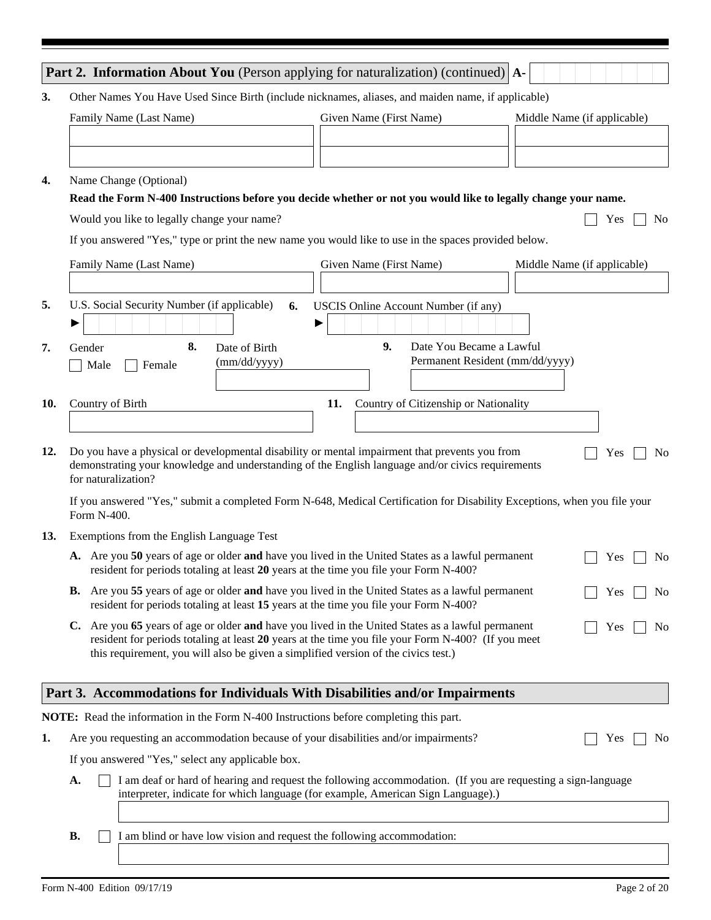|     | <b>Part 2. Information About You</b> (Person applying for naturalization) (continued) $ A-$                                                                                                                                                                                                                            |
|-----|------------------------------------------------------------------------------------------------------------------------------------------------------------------------------------------------------------------------------------------------------------------------------------------------------------------------|
| 3.  | Other Names You Have Used Since Birth (include nicknames, aliases, and maiden name, if applicable)                                                                                                                                                                                                                     |
|     | Given Name (First Name)<br>Family Name (Last Name)<br>Middle Name (if applicable)                                                                                                                                                                                                                                      |
| 4.  | Name Change (Optional)<br>Read the Form N-400 Instructions before you decide whether or not you would like to legally change your name.                                                                                                                                                                                |
|     | Would you like to legally change your name?<br>Yes<br>N <sub>o</sub>                                                                                                                                                                                                                                                   |
|     | If you answered "Yes," type or print the new name you would like to use in the spaces provided below.                                                                                                                                                                                                                  |
|     | Given Name (First Name)<br>Family Name (Last Name)<br>Middle Name (if applicable)                                                                                                                                                                                                                                      |
|     |                                                                                                                                                                                                                                                                                                                        |
| 5.  | U.S. Social Security Number (if applicable)<br>USCIS Online Account Number (if any)<br>6.                                                                                                                                                                                                                              |
| 7.  | 8.<br>9.<br>Date You Became a Lawful<br>Gender<br>Date of Birth<br>Permanent Resident (mm/dd/yyyy)<br>(mm/dd/yyyy)<br>Male<br>Female                                                                                                                                                                                   |
| 10. | Country of Citizenship or Nationality<br>11.<br>Country of Birth                                                                                                                                                                                                                                                       |
| 12. | Do you have a physical or developmental disability or mental impairment that prevents you from<br>Yes<br>N <sub>0</sub><br>demonstrating your knowledge and understanding of the English language and/or civics requirements<br>for naturalization?                                                                    |
|     | If you answered "Yes," submit a completed Form N-648, Medical Certification for Disability Exceptions, when you file your<br>Form N-400.                                                                                                                                                                               |
| 13. | Exemptions from the English Language Test                                                                                                                                                                                                                                                                              |
|     | A. Are you 50 years of age or older and have you lived in the United States as a lawful permanent<br>Yes<br>N <sub>0</sub><br>resident for periods totaling at least 20 years at the time you file your Form N-400?                                                                                                    |
|     | <b>B.</b> Are you 55 years of age or older and have you lived in the United States as a lawful permanent<br>Yes<br>N <sub>0</sub><br>resident for periods totaling at least 15 years at the time you file your Form N-400?                                                                                             |
|     | C. Are you 65 years of age or older and have you lived in the United States as a lawful permanent<br>Yes<br>N <sub>0</sub><br>resident for periods totaling at least 20 years at the time you file your Form N-400? (If you meet<br>this requirement, you will also be given a simplified version of the civics test.) |
|     | Part 3. Accommodations for Individuals With Disabilities and/or Impairments                                                                                                                                                                                                                                            |
|     | NOTE: Read the information in the Form N-400 Instructions before completing this part.                                                                                                                                                                                                                                 |
| 1.  | Are you requesting an accommodation because of your disabilities and/or impairments?<br>N <sub>0</sub><br>Yes                                                                                                                                                                                                          |
|     | If you answered "Yes," select any applicable box.                                                                                                                                                                                                                                                                      |
|     | I am deaf or hard of hearing and request the following accommodation. (If you are requesting a sign-language<br>A.<br>interpreter, indicate for which language (for example, American Sign Language).)                                                                                                                 |
|     | I am blind or have low vision and request the following accommodation:<br><b>B.</b>                                                                                                                                                                                                                                    |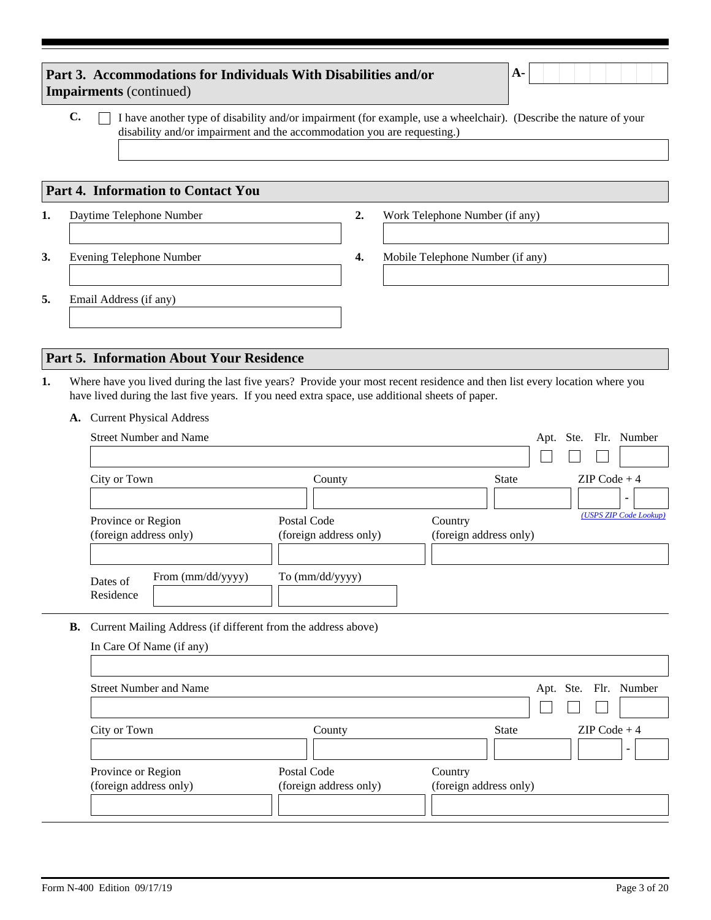|    | Part 3. Accommodations for Individuals With Disabilities and/or<br><b>Impairments</b> (continued) |        | $A-$                                                                                                                       |
|----|---------------------------------------------------------------------------------------------------|--------|----------------------------------------------------------------------------------------------------------------------------|
|    | C.<br>disability and/or impairment and the accommodation you are requesting.)                     |        | I have another type of disability and/or impairment (for example, use a wheelchair). (Describe the nature of your          |
|    | <b>Part 4. Information to Contact You</b>                                                         |        |                                                                                                                            |
| 1. | Daytime Telephone Number                                                                          | 2.     | Work Telephone Number (if any)                                                                                             |
|    |                                                                                                   |        |                                                                                                                            |
| 3. | <b>Evening Telephone Number</b>                                                                   | 4.     | Mobile Telephone Number (if any)                                                                                           |
| 5. | Email Address (if any)                                                                            |        |                                                                                                                            |
|    |                                                                                                   |        |                                                                                                                            |
|    | <b>Part 5. Information About Your Residence</b>                                                   |        |                                                                                                                            |
| 1. | have lived during the last five years. If you need extra space, use additional sheets of paper.   |        | Where have you lived during the last five years? Provide your most recent residence and then list every location where you |
|    | <b>Current Physical Address</b><br><b>A.</b>                                                      |        |                                                                                                                            |
|    | <b>Street Number and Name</b>                                                                     |        | Apt. Ste. Flr. Number                                                                                                      |
|    |                                                                                                   |        |                                                                                                                            |
|    | City or Town                                                                                      | County | $ZIP Code + 4$<br><b>State</b>                                                                                             |

| Province or Region<br>(foreign address only) |                   | Postal Code<br>(foreign address only) | Country<br>(foreign address only) | (USPS ZIP Code Lookup) |
|----------------------------------------------|-------------------|---------------------------------------|-----------------------------------|------------------------|
| Dates of<br>Residence                        | From (mm/dd/yyyy) | To (mm/dd/yyyy)                       |                                   |                        |

**B.** Current Mailing Address (if different from the address above)

| In Care Of Name (if any)      |                        |                                |
|-------------------------------|------------------------|--------------------------------|
| <b>Street Number and Name</b> |                        | Apt. Ste. Flr. Number          |
|                               |                        |                                |
| City or Town                  | County                 | $ZIP Code + 4$<br><b>State</b> |
|                               |                        |                                |
| Province or Region            | Postal Code            | Country                        |
| (foreign address only)        | (foreign address only) | (foreign address only)         |
|                               |                        |                                |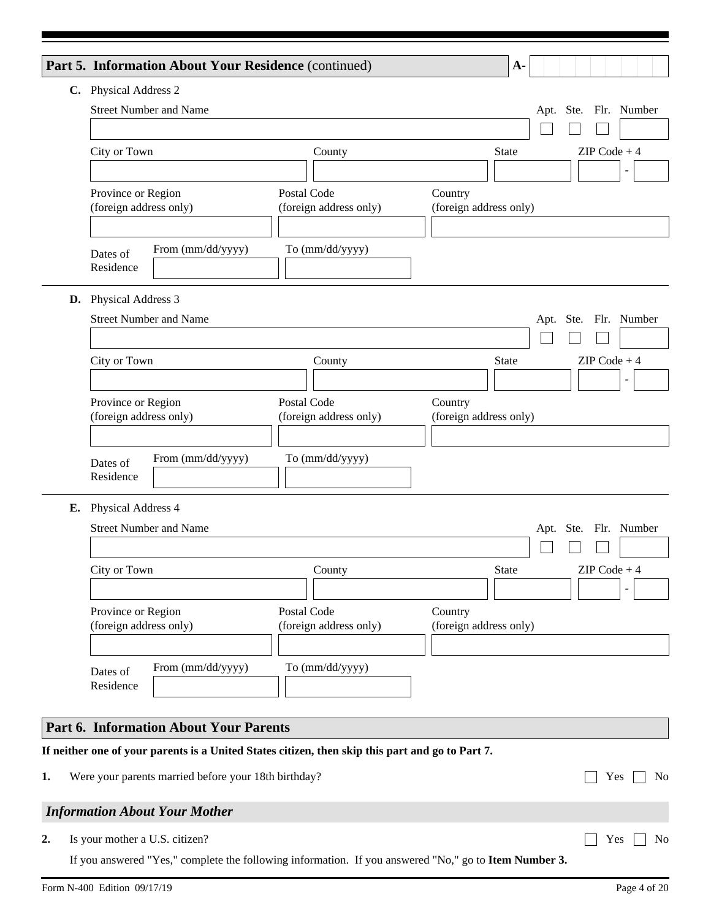|    | Part 5. Information About Your Residence (continued)                                                  |                                       | $A-$                              |                          |                       |                |
|----|-------------------------------------------------------------------------------------------------------|---------------------------------------|-----------------------------------|--------------------------|-----------------------|----------------|
|    | C. Physical Address 2                                                                                 |                                       |                                   |                          |                       |                |
|    | <b>Street Number and Name</b>                                                                         |                                       |                                   |                          | Apt. Ste. Flr. Number |                |
|    |                                                                                                       |                                       |                                   |                          |                       |                |
|    | City or Town                                                                                          | County                                | <b>State</b>                      |                          | $ZIP Code + 4$        |                |
|    |                                                                                                       |                                       |                                   | $\overline{\phantom{a}}$ |                       |                |
|    | Province or Region<br>(foreign address only)                                                          | Postal Code<br>(foreign address only) | Country<br>(foreign address only) |                          |                       |                |
|    |                                                                                                       |                                       |                                   |                          |                       |                |
|    | From (mm/dd/yyyy)<br>Dates of                                                                         | To (mm/dd/yyyy)                       |                                   |                          |                       |                |
|    | Residence                                                                                             |                                       |                                   |                          |                       |                |
|    |                                                                                                       |                                       |                                   |                          |                       |                |
|    | D. Physical Address 3<br><b>Street Number and Name</b>                                                |                                       |                                   |                          | Apt. Ste. Flr. Number |                |
|    |                                                                                                       |                                       |                                   |                          |                       |                |
|    | City or Town                                                                                          | County                                | <b>State</b>                      |                          | $ZIP Code + 4$        |                |
|    |                                                                                                       |                                       |                                   | $\blacktriangledown$     |                       |                |
|    | Province or Region                                                                                    | Postal Code                           | Country                           |                          |                       |                |
|    | (foreign address only)                                                                                | (foreign address only)                | (foreign address only)            |                          |                       |                |
|    |                                                                                                       |                                       |                                   |                          |                       |                |
|    | From (mm/dd/yyyy)<br>Dates of<br>Residence                                                            | To (mm/dd/yyyy)                       |                                   |                          |                       |                |
|    |                                                                                                       |                                       |                                   |                          |                       |                |
| Е. | Physical Address 4                                                                                    |                                       |                                   |                          |                       |                |
|    | <b>Street Number and Name</b>                                                                         |                                       |                                   |                          | Apt. Ste. Flr. Number |                |
|    | City or Town                                                                                          |                                       | State                             |                          | $ZIP Code + 4$        |                |
|    |                                                                                                       | County                                |                                   | $\blacktriangledown$     |                       | $\blacksquare$ |
|    | Province or Region                                                                                    | Postal Code                           | Country                           |                          |                       |                |
|    | (foreign address only)                                                                                | (foreign address only)                | (foreign address only)            |                          |                       |                |
|    |                                                                                                       |                                       |                                   |                          |                       |                |
|    | From (mm/dd/yyyy)<br>Dates of                                                                         | To (mm/dd/yyyy)                       |                                   |                          |                       |                |
|    | Residence                                                                                             |                                       |                                   |                          |                       |                |
|    | <b>Part 6. Information About Your Parents</b>                                                         |                                       |                                   |                          |                       |                |
|    |                                                                                                       |                                       |                                   |                          |                       |                |
|    | If neither one of your parents is a United States citizen, then skip this part and go to Part 7.      |                                       |                                   |                          |                       |                |
| 1. | Were your parents married before your 18th birthday?                                                  |                                       |                                   |                          | Yes                   | No             |
|    | <b>Information About Your Mother</b>                                                                  |                                       |                                   |                          |                       |                |
| 2. | Is your mother a U.S. citizen?                                                                        |                                       |                                   |                          | Yes                   | No             |
|    | If you answered "Yes," complete the following information. If you answered "No," go to Item Number 3. |                                       |                                   |                          |                       |                |
|    |                                                                                                       |                                       |                                   |                          |                       |                |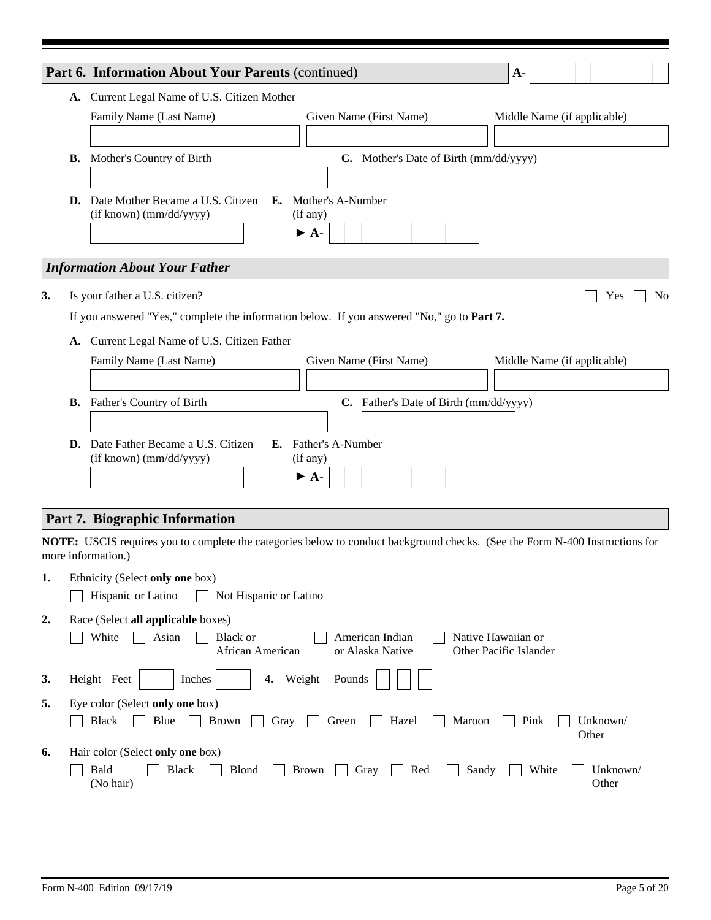|    |           | Part 6. Information About Your Parents (continued)<br>$A-$                                                                                                |
|----|-----------|-----------------------------------------------------------------------------------------------------------------------------------------------------------|
|    |           | A. Current Legal Name of U.S. Citizen Mother                                                                                                              |
|    |           | Family Name (Last Name)<br>Given Name (First Name)<br>Middle Name (if applicable)                                                                         |
|    |           |                                                                                                                                                           |
|    | <b>B.</b> | Mother's Country of Birth<br>C. Mother's Date of Birth (mm/dd/yyyy)                                                                                       |
|    |           |                                                                                                                                                           |
|    |           | D. Date Mother Became a U.S. Citizen E. Mother's A-Number                                                                                                 |
|    |           | (if known) (mm/dd/yyyy)<br>(if any)                                                                                                                       |
|    |           | $\triangleright$ A-                                                                                                                                       |
|    |           | <b>Information About Your Father</b>                                                                                                                      |
|    |           |                                                                                                                                                           |
| 3. |           | Is your father a U.S. citizen?<br>N <sub>0</sub><br>Yes                                                                                                   |
|    |           | If you answered "Yes," complete the information below. If you answered "No," go to Part 7.                                                                |
|    |           | A. Current Legal Name of U.S. Citizen Father                                                                                                              |
|    |           | Family Name (Last Name)<br>Given Name (First Name)<br>Middle Name (if applicable)                                                                         |
|    |           |                                                                                                                                                           |
|    | <b>B.</b> | Father's Country of Birth<br>C. Father's Date of Birth (mm/dd/yyyy)                                                                                       |
|    |           |                                                                                                                                                           |
|    | D.        | Date Father Became a U.S. Citizen<br>E. Father's A-Number                                                                                                 |
|    |           | (if known) (mm/dd/yyyy)<br>(if any)<br>$\blacktriangleright$ A-                                                                                           |
|    |           |                                                                                                                                                           |
|    |           |                                                                                                                                                           |
|    |           | Part 7. Biographic Information                                                                                                                            |
|    |           | <b>NOTE:</b> USCIS requires you to complete the categories below to conduct background checks. (See the Form N-400 Instructions for<br>more information.) |
| 1. |           | Ethnicity (Select only one box)                                                                                                                           |
|    |           | Hispanic or Latino<br>Not Hispanic or Latino                                                                                                              |
| 2. |           | Race (Select all applicable boxes)                                                                                                                        |
|    |           | White<br>Asian<br><b>Black or</b><br>American Indian<br>Native Hawaiian or                                                                                |
|    |           | African American<br>or Alaska Native<br>Other Pacific Islander                                                                                            |
| 3. |           | Height Feet<br>Inches<br>Pounds<br>4.<br>Weight                                                                                                           |
|    |           |                                                                                                                                                           |
| 5. |           | Eye color (Select only one box)                                                                                                                           |
|    |           | <b>Black</b><br>Gray<br>Blue<br><b>Brown</b><br>Green<br>Hazel<br>Pink<br>Unknown/<br>Maroon<br>Other                                                     |
| 6. |           | Hair color (Select only one box)                                                                                                                          |
|    |           | Bald<br><b>Black</b><br>Sandy<br><b>Blond</b><br>Gray<br>Red<br>White<br>Unknown/<br><b>Brown</b>                                                         |
|    |           | (No hair)<br>Other                                                                                                                                        |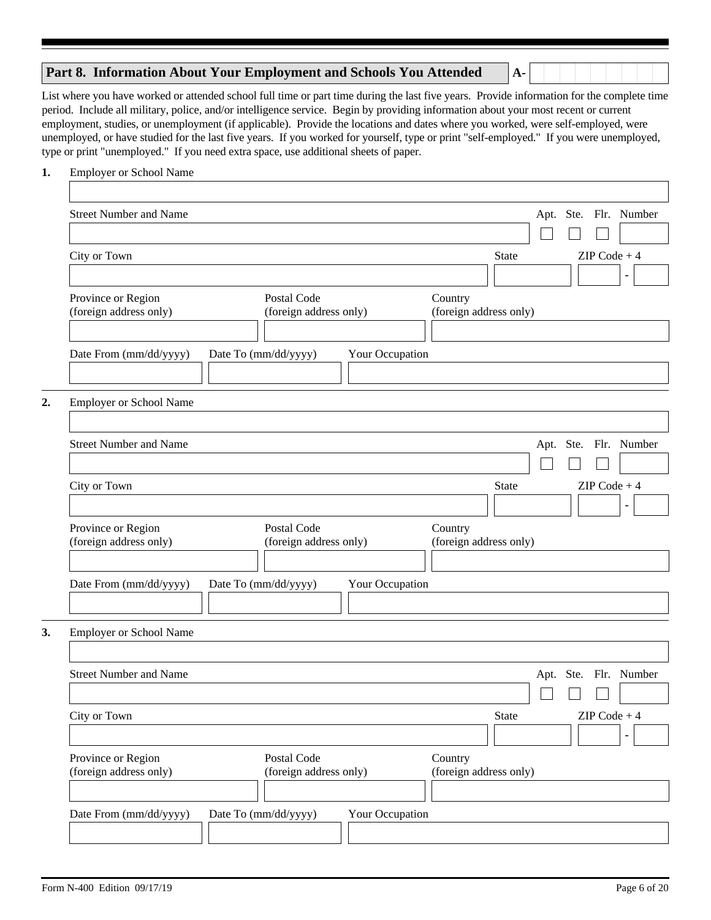## **Part 8. Information About Your Employment and Schools You Attended**

List where you have worked or attended school full time or part time during the last five years. Provide information for the complete time period. Include all military, police, and/or intelligence service. Begin by providing information about your most recent or current employment, studies, or unemployment (if applicable). Provide the locations and dates where you worked, were self-employed, were unemployed, or have studied for the last five years. If you worked for yourself, type or print "self-employed." If you were unemployed, type or print "unemployed." If you need extra space, use additional sheets of paper.

**A-**

#### **1.** Employer or School Name

| <b>Street Number and Name</b>                |                                         | Apt. Ste. Flr. Number                    |
|----------------------------------------------|-----------------------------------------|------------------------------------------|
|                                              |                                         |                                          |
| City or Town                                 |                                         | $ZIP Code + 4$<br>State                  |
|                                              |                                         | $\left  \cdot \right $                   |
| Province or Region                           | Postal Code                             | Country                                  |
| (foreign address only)                       | (foreign address only)                  | (foreign address only)                   |
|                                              |                                         |                                          |
| Date From (mm/dd/yyyy)                       | Date To (mm/dd/yyyy)<br>Your Occupation |                                          |
|                                              |                                         |                                          |
| Employer or School Name                      |                                         |                                          |
|                                              |                                         |                                          |
| <b>Street Number and Name</b>                |                                         | Apt. Ste. Flr. Number                    |
|                                              |                                         |                                          |
|                                              |                                         | $ZIP Code + 4$                           |
| City or Town                                 |                                         | <b>State</b><br>$\vert \mathbf{v} \vert$ |
|                                              |                                         |                                          |
| Province or Region<br>(foreign address only) | Postal Code<br>(foreign address only)   | Country<br>(foreign address only)        |
|                                              |                                         |                                          |
| Date From (mm/dd/yyyy)                       | Date To (mm/dd/yyyy)<br>Your Occupation |                                          |
|                                              |                                         |                                          |
|                                              |                                         |                                          |
| Employer or School Name                      |                                         |                                          |
|                                              |                                         |                                          |
|                                              |                                         |                                          |
| <b>Street Number and Name</b>                |                                         | Apt. Ste. Flr. Number                    |
|                                              |                                         |                                          |
| City or Town                                 |                                         | $ZIP Code + 4$<br>State                  |
|                                              |                                         | $\blacktriangledown$                     |
| Province or Region                           | Postal Code                             | Country                                  |
| (foreign address only)                       | (foreign address only)                  | (foreign address only)                   |
|                                              |                                         |                                          |
| Date From (mm/dd/yyyy)                       | Date To (mm/dd/yyyy)<br>Your Occupation |                                          |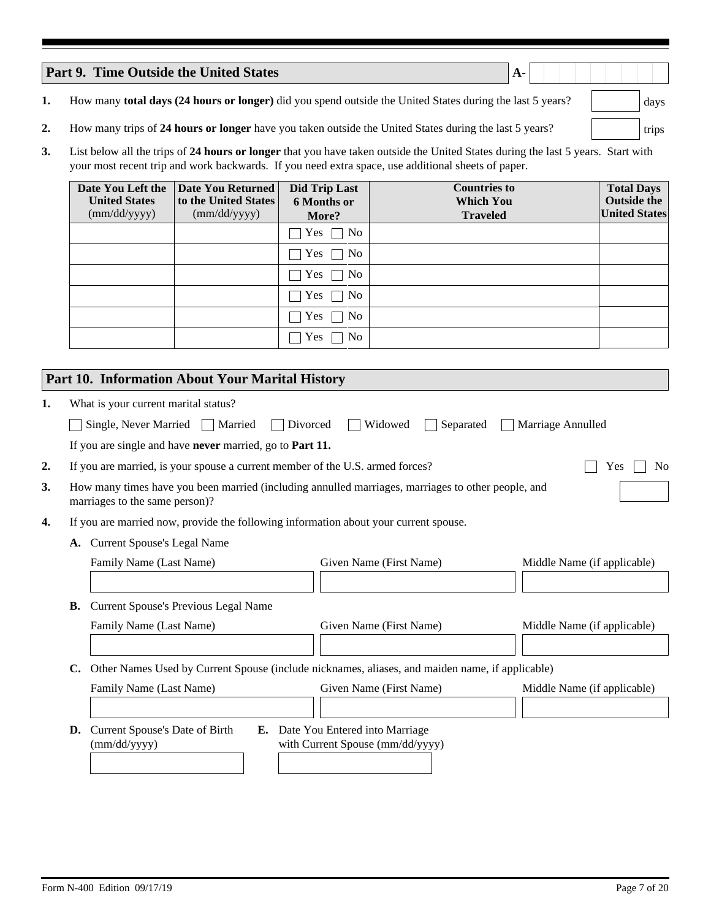|    | <b>Part 9. Time Outside the United States</b><br>$A -$                                                                           |       |
|----|----------------------------------------------------------------------------------------------------------------------------------|-------|
|    | How many total days (24 hours or longer) did you spend outside the United States during the last 5 years?                        | days  |
|    | How many trips of 24 hours or longer have you taken outside the United States during the last 5 years?                           | trips |
| 3. | List below all the trips of 24 hours or longer that you have taken outside the United States during the last 5 years. Start with |       |

| your most recent trip and work backwards. If you need extra space, use additional sheets of paper. |                                                                  |                                                     |                                                            |                                                                 |  |
|----------------------------------------------------------------------------------------------------|------------------------------------------------------------------|-----------------------------------------------------|------------------------------------------------------------|-----------------------------------------------------------------|--|
| Date You Left the<br><b>United States</b><br>(mm/dd/yyyy)                                          | <b>Date You Returned</b><br>to the United States<br>(mm/dd/yyyy) | <b>Did Trip Last</b><br><b>6 Months or</b><br>More? | <b>Countries to</b><br><b>Which You</b><br><b>Traveled</b> | <b>Total Days</b><br><b>Outside the</b><br><b>United States</b> |  |
|                                                                                                    |                                                                  | No.<br>Yes $\Box$                                   |                                                            |                                                                 |  |
|                                                                                                    |                                                                  | No<br>Yes.                                          |                                                            |                                                                 |  |
|                                                                                                    |                                                                  | No<br>Yes                                           |                                                            |                                                                 |  |
|                                                                                                    |                                                                  | N <sub>0</sub><br><b>Yes</b>                        |                                                            |                                                                 |  |
|                                                                                                    |                                                                  | N <sub>0</sub><br><b>Yes</b>                        |                                                            |                                                                 |  |
|                                                                                                    |                                                                  | N <sub>0</sub><br>Yes                               |                                                            |                                                                 |  |

# **Part 10. Information About Your Marital History**

| 1. |    | What is your current marital status?                                                                                                 |                                                                       |                             |
|----|----|--------------------------------------------------------------------------------------------------------------------------------------|-----------------------------------------------------------------------|-----------------------------|
|    |    | Single, Never Married $\Box$ Married<br>Divorced                                                                                     | Widowed<br>Separated                                                  | Marriage Annulled           |
|    |    | If you are single and have never married, go to Part 11.                                                                             |                                                                       |                             |
| 2. |    | If you are married, is your spouse a current member of the U.S. armed forces?                                                        |                                                                       | N <sub>0</sub><br>Yes       |
| 3. |    | How many times have you been married (including annulled marriages, marriages to other people, and<br>marriages to the same person)? |                                                                       |                             |
| 4. |    | If you are married now, provide the following information about your current spouse.                                                 |                                                                       |                             |
|    |    | A. Current Spouse's Legal Name                                                                                                       |                                                                       |                             |
|    |    | Family Name (Last Name)                                                                                                              | Given Name (First Name)                                               | Middle Name (if applicable) |
|    |    |                                                                                                                                      |                                                                       |                             |
|    | В. | <b>Current Spouse's Previous Legal Name</b>                                                                                          |                                                                       |                             |
|    |    | Family Name (Last Name)                                                                                                              | Given Name (First Name)                                               | Middle Name (if applicable) |
|    |    |                                                                                                                                      |                                                                       |                             |
|    | C. | Other Names Used by Current Spouse (include nicknames, aliases, and maiden name, if applicable)                                      |                                                                       |                             |
|    |    | Family Name (Last Name)                                                                                                              | Given Name (First Name)                                               | Middle Name (if applicable) |
|    |    |                                                                                                                                      |                                                                       |                             |
|    | D. | Current Spouse's Date of Birth<br>(mm/dd/yyyy)                                                                                       | E. Date You Entered into Marriage<br>with Current Spouse (mm/dd/yyyy) |                             |
|    |    |                                                                                                                                      |                                                                       |                             |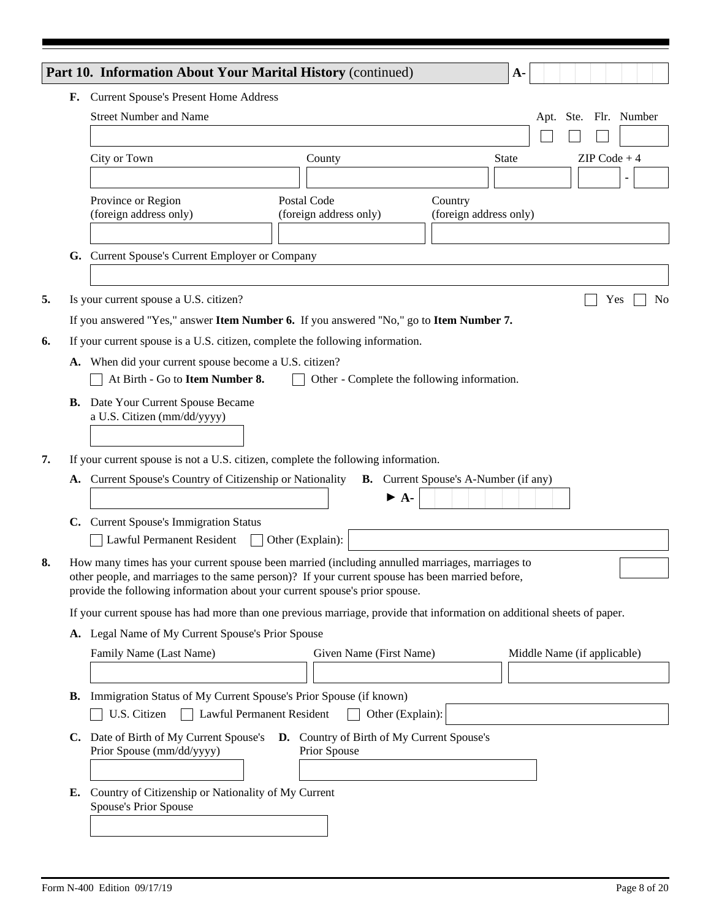|    |    | Part 10. Information About Your Marital History (continued)<br>$A -$                                                                                                            |                |
|----|----|---------------------------------------------------------------------------------------------------------------------------------------------------------------------------------|----------------|
|    |    | F. Current Spouse's Present Home Address                                                                                                                                        |                |
|    |    | <b>Street Number and Name</b><br>Apt. Ste. Flr. Number                                                                                                                          |                |
|    |    |                                                                                                                                                                                 |                |
|    |    | City or Town<br>$ZIP Code + 4$<br><b>State</b><br>County                                                                                                                        |                |
|    |    |                                                                                                                                                                                 |                |
|    |    | Postal Code<br>Province or Region<br>Country                                                                                                                                    |                |
|    |    | (foreign address only)<br>(foreign address only)<br>(foreign address only)                                                                                                      |                |
|    |    | G. Current Spouse's Current Employer or Company                                                                                                                                 |                |
|    |    |                                                                                                                                                                                 |                |
| 5. |    | Is your current spouse a U.S. citizen?<br>Yes                                                                                                                                   | N <sub>0</sub> |
|    |    | If you answered "Yes," answer Item Number 6. If you answered "No," go to Item Number 7.                                                                                         |                |
| 6. |    | If your current spouse is a U.S. citizen, complete the following information.                                                                                                   |                |
|    |    | A. When did your current spouse become a U.S. citizen?                                                                                                                          |                |
|    |    | At Birth - Go to Item Number 8.<br>Other - Complete the following information.                                                                                                  |                |
|    |    | <b>B.</b> Date Your Current Spouse Became                                                                                                                                       |                |
|    |    | a U.S. Citizen (mm/dd/yyyy)                                                                                                                                                     |                |
|    |    |                                                                                                                                                                                 |                |
| 7. |    | If your current spouse is not a U.S. citizen, complete the following information.                                                                                               |                |
|    | A. | Current Spouse's Country of Citizenship or Nationality<br><b>B.</b> Current Spouse's A-Number (if any)                                                                          |                |
|    |    | $\blacktriangleright$ A-                                                                                                                                                        |                |
|    |    | C. Current Spouse's Immigration Status                                                                                                                                          |                |
|    |    | Lawful Permanent Resident<br>Other (Explain):                                                                                                                                   |                |
| 8. |    | How many times has your current spouse been married (including annulled marriages, marriages to                                                                                 |                |
|    |    | other people, and marriages to the same person)? If your current spouse has been married before,<br>provide the following information about your current spouse's prior spouse. |                |
|    |    |                                                                                                                                                                                 |                |
|    |    | If your current spouse has had more than one previous marriage, provide that information on additional sheets of paper.                                                         |                |
|    |    | A. Legal Name of My Current Spouse's Prior Spouse                                                                                                                               |                |
|    |    | Given Name (First Name)<br>Middle Name (if applicable)<br>Family Name (Last Name)                                                                                               |                |
|    |    |                                                                                                                                                                                 |                |
|    |    | <b>B.</b> Immigration Status of My Current Spouse's Prior Spouse (if known)                                                                                                     |                |
|    |    | Lawful Permanent Resident<br>U.S. Citizen<br>Other (Explain):                                                                                                                   |                |
|    |    | C. Date of Birth of My Current Spouse's D. Country of Birth of My Current Spouse's                                                                                              |                |
|    |    | Prior Spouse (mm/dd/yyyy)<br>Prior Spouse                                                                                                                                       |                |
|    |    |                                                                                                                                                                                 |                |
|    | Е. | Country of Citizenship or Nationality of My Current<br>Spouse's Prior Spouse                                                                                                    |                |
|    |    |                                                                                                                                                                                 |                |
|    |    |                                                                                                                                                                                 |                |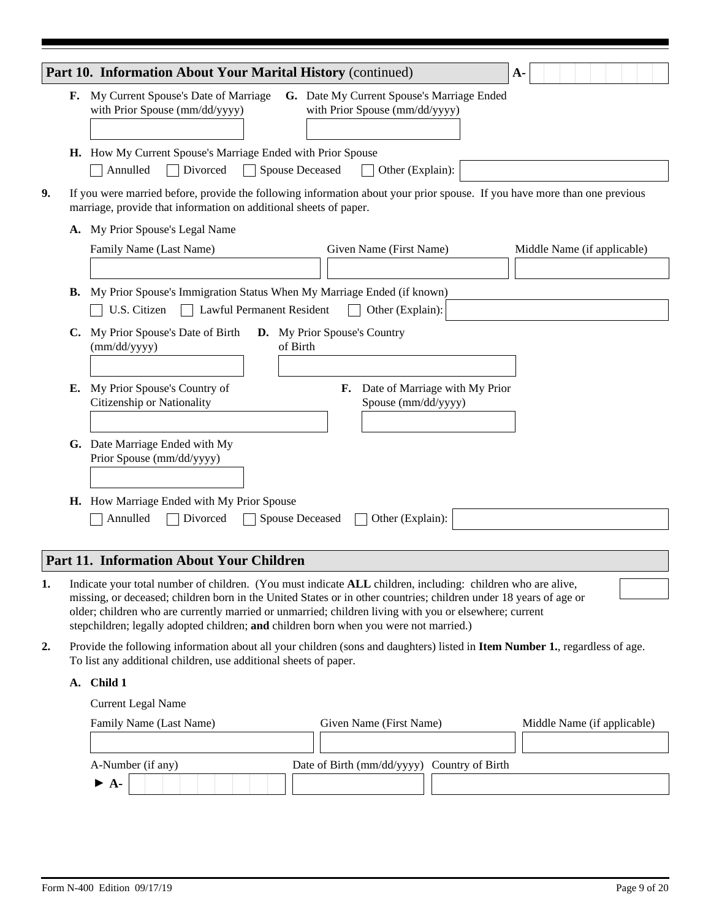|    | Part 10. Information About Your Marital History (continued)                                                                                                                                    |                           |                        |                                                                              | $A-$ |                             |  |  |
|----|------------------------------------------------------------------------------------------------------------------------------------------------------------------------------------------------|---------------------------|------------------------|------------------------------------------------------------------------------|------|-----------------------------|--|--|
| F. | My Current Spouse's Date of Marriage<br>with Prior Spouse (mm/dd/yyyy)                                                                                                                         |                           |                        | G. Date My Current Spouse's Marriage Ended<br>with Prior Spouse (mm/dd/yyyy) |      |                             |  |  |
|    |                                                                                                                                                                                                |                           |                        |                                                                              |      |                             |  |  |
|    | H. How My Current Spouse's Marriage Ended with Prior Spouse                                                                                                                                    |                           |                        |                                                                              |      |                             |  |  |
|    | Annulled<br>Divorced                                                                                                                                                                           |                           | <b>Spouse Deceased</b> | Other (Explain):                                                             |      |                             |  |  |
|    | If you were married before, provide the following information about your prior spouse. If you have more than one previous<br>marriage, provide that information on additional sheets of paper. |                           |                        |                                                                              |      |                             |  |  |
| А. | My Prior Spouse's Legal Name                                                                                                                                                                   |                           |                        |                                                                              |      |                             |  |  |
|    | Family Name (Last Name)                                                                                                                                                                        |                           |                        | Given Name (First Name)                                                      |      | Middle Name (if applicable) |  |  |
|    |                                                                                                                                                                                                |                           |                        |                                                                              |      |                             |  |  |
|    |                                                                                                                                                                                                |                           |                        |                                                                              |      |                             |  |  |
|    |                                                                                                                                                                                                |                           |                        |                                                                              |      |                             |  |  |
| В. | My Prior Spouse's Immigration Status When My Marriage Ended (if known)                                                                                                                         |                           |                        |                                                                              |      |                             |  |  |
|    | U.S. Citizen                                                                                                                                                                                   | Lawful Permanent Resident |                        | Other (Explain):                                                             |      |                             |  |  |
| C. |                                                                                                                                                                                                |                           |                        |                                                                              |      |                             |  |  |
|    | My Prior Spouse's Date of Birth<br>(mm/dd/yyyy)                                                                                                                                                | of Birth                  |                        | D. My Prior Spouse's Country                                                 |      |                             |  |  |
|    |                                                                                                                                                                                                |                           |                        |                                                                              |      |                             |  |  |
|    |                                                                                                                                                                                                |                           |                        |                                                                              |      |                             |  |  |
| Е. | My Prior Spouse's Country of                                                                                                                                                                   |                           |                        | F. Date of Marriage with My Prior                                            |      |                             |  |  |
|    | Citizenship or Nationality                                                                                                                                                                     |                           |                        | Spouse (mm/dd/yyyy)                                                          |      |                             |  |  |
|    |                                                                                                                                                                                                |                           |                        |                                                                              |      |                             |  |  |
|    | G. Date Marriage Ended with My                                                                                                                                                                 |                           |                        |                                                                              |      |                             |  |  |
|    | Prior Spouse (mm/dd/yyyy)                                                                                                                                                                      |                           |                        |                                                                              |      |                             |  |  |
|    |                                                                                                                                                                                                |                           |                        |                                                                              |      |                             |  |  |
|    |                                                                                                                                                                                                |                           |                        |                                                                              |      |                             |  |  |
|    | H. How Marriage Ended with My Prior Spouse<br>Annulled<br>Divorced                                                                                                                             |                           | <b>Spouse Deceased</b> | Other (Explain):                                                             |      |                             |  |  |

## **Part 11. Information About Your Children**

- Indicate your total number of children. (You must indicate **ALL** children, including: children who are alive, missing, or deceased; children born in the United States or in other countries; children under 18 years of age or older; children who are currently married or unmarried; children living with you or elsewhere; current stepchildren; legally adopted children; **and** children born when you were not married.) **1.**
- Provide the following information about all your children (sons and daughters) listed in **Item Number 1.**, regardless of age. To list any additional children, use additional sheets of paper. **2.**
	- **A. Child 1**

Current Legal Name

| Family Name (Last Name)  | Given Name (First Name)                     | Middle Name (if applicable) |
|--------------------------|---------------------------------------------|-----------------------------|
|                          |                                             |                             |
| A-Number (if any)        | Date of Birth (mm/dd/yyyy) Country of Birth |                             |
| $\blacktriangleright$ A- |                                             |                             |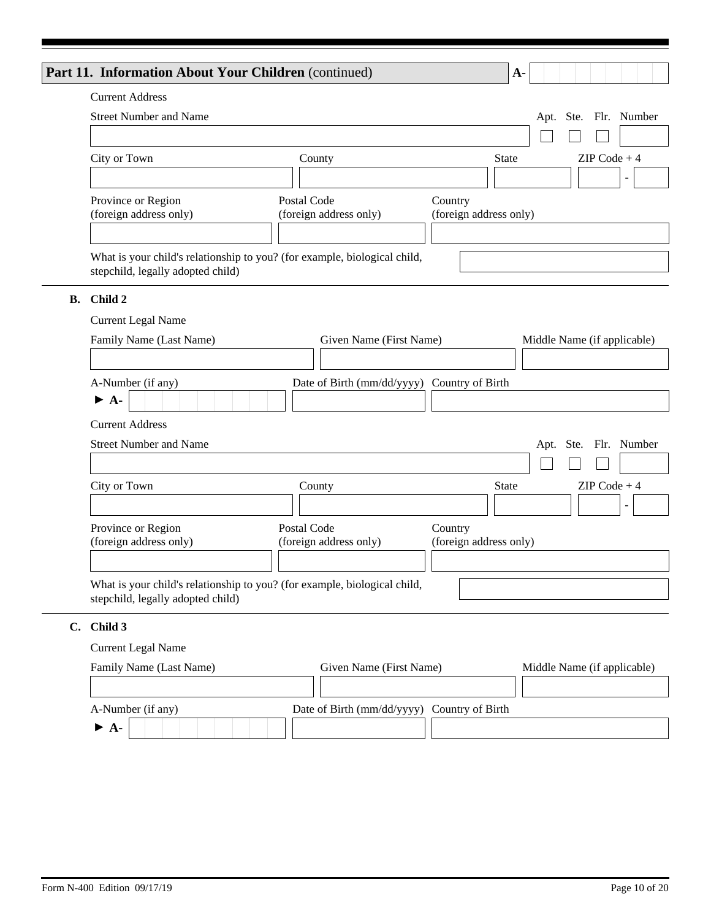|           | Part 11. Information About Your Children (continued) |                                                                           |                                   | $\mathbf{A}$ -              |
|-----------|------------------------------------------------------|---------------------------------------------------------------------------|-----------------------------------|-----------------------------|
|           | <b>Current Address</b>                               |                                                                           |                                   |                             |
|           | <b>Street Number and Name</b>                        |                                                                           |                                   | Apt. Ste. Flr. Number       |
|           |                                                      |                                                                           |                                   |                             |
|           | City or Town                                         | County                                                                    | <b>State</b>                      | $ZIP Code + 4$              |
|           |                                                      |                                                                           |                                   | $\blacktriangledown$        |
|           | Province or Region                                   | Postal Code                                                               | Country                           |                             |
|           | (foreign address only)                               | (foreign address only)                                                    | (foreign address only)            |                             |
|           |                                                      |                                                                           |                                   |                             |
|           | stepchild, legally adopted child)                    | What is your child's relationship to you? (for example, biological child, |                                   |                             |
| <b>B.</b> | Child 2                                              |                                                                           |                                   |                             |
|           | <b>Current Legal Name</b>                            |                                                                           |                                   |                             |
|           | Family Name (Last Name)                              | Given Name (First Name)                                                   |                                   | Middle Name (if applicable) |
|           |                                                      |                                                                           |                                   |                             |
|           | A-Number (if any)                                    | Date of Birth (mm/dd/yyyy) Country of Birth                               |                                   |                             |
|           | $\blacktriangleright$ A-                             |                                                                           |                                   |                             |
|           | <b>Current Address</b>                               |                                                                           |                                   |                             |
|           | <b>Street Number and Name</b>                        |                                                                           |                                   | Apt. Ste. Flr. Number       |
|           |                                                      |                                                                           |                                   |                             |
|           | City or Town                                         | County                                                                    | <b>State</b>                      | $ZIP Code + 4$              |
|           |                                                      |                                                                           |                                   | $\blacktriangledown$        |
|           | Province or Region<br>(foreign address only)         | Postal Code<br>(foreign address only)                                     | Country<br>(foreign address only) |                             |
|           |                                                      |                                                                           |                                   |                             |
|           |                                                      | What is your child's relationship to you? (for example, biological child, |                                   |                             |
|           | stepchild, legally adopted child)                    |                                                                           |                                   |                             |
|           | C. Child 3                                           |                                                                           |                                   |                             |
|           | <b>Current Legal Name</b>                            |                                                                           |                                   |                             |
|           | Family Name (Last Name)                              | Given Name (First Name)                                                   |                                   | Middle Name (if applicable) |
|           |                                                      |                                                                           |                                   |                             |

| A-Number (if any)        | Date of Birth (mm/dd/yyyy) Country of Birth |  |
|--------------------------|---------------------------------------------|--|
| $\blacktriangleright$ A- |                                             |  |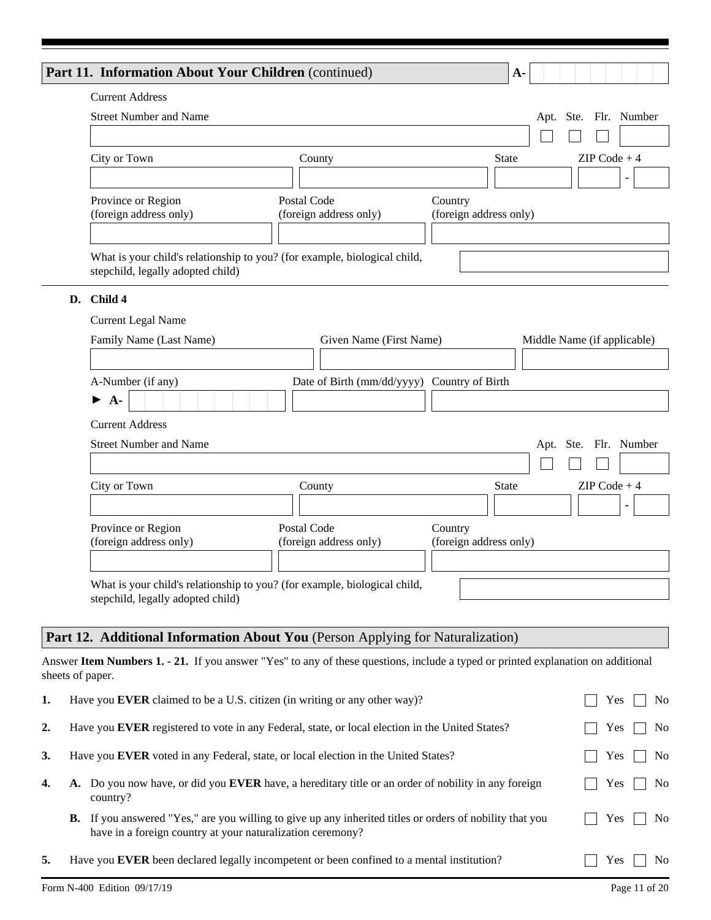|    | Part 11. Information About Your Children (continued)                                                           |                                             | $A-$                                   |
|----|----------------------------------------------------------------------------------------------------------------|---------------------------------------------|----------------------------------------|
|    | <b>Current Address</b>                                                                                         |                                             |                                        |
|    | <b>Street Number and Name</b>                                                                                  |                                             | Ste. Flr. Number<br>Apt.               |
|    |                                                                                                                |                                             |                                        |
|    | City or Town                                                                                                   | County                                      | $ZIP Code + 4$<br><b>State</b>         |
|    |                                                                                                                |                                             | $\blacktriangledown$<br>٠              |
|    | Province or Region                                                                                             | Postal Code                                 | Country                                |
|    | (foreign address only)                                                                                         | (foreign address only)                      | (foreign address only)                 |
|    |                                                                                                                |                                             |                                        |
|    | What is your child's relationship to you? (for example, biological child,<br>stepchild, legally adopted child) |                                             |                                        |
| D. | Child 4                                                                                                        |                                             |                                        |
|    | <b>Current Legal Name</b>                                                                                      |                                             |                                        |
|    | Family Name (Last Name)                                                                                        | Given Name (First Name)                     | Middle Name (if applicable)            |
|    |                                                                                                                |                                             |                                        |
|    | A-Number (if any)                                                                                              | Date of Birth (mm/dd/yyyy) Country of Birth |                                        |
|    | $A-$<br>▶                                                                                                      |                                             |                                        |
|    | <b>Current Address</b>                                                                                         |                                             |                                        |
|    | <b>Street Number and Name</b>                                                                                  |                                             | Ste. Flr. Number<br>Apt.               |
|    |                                                                                                                |                                             |                                        |
|    | City or Town                                                                                                   | County                                      | $ZIP Code + 4$<br><b>State</b>         |
|    |                                                                                                                |                                             | $\blacktriangledown$<br>$\blacksquare$ |
|    | Province or Region                                                                                             | Postal Code                                 | Country                                |
|    | (foreign address only)                                                                                         | (foreign address only)                      | (foreign address only)                 |
|    |                                                                                                                |                                             |                                        |
|    | What is your child's relationship to you? (for example, biological child,                                      |                                             |                                        |
|    | stepchild, legally adopted child)                                                                              |                                             |                                        |
|    | Part 12. Additional Information About You (Person Applying for Naturalization)                                 |                                             |                                        |
|    |                                                                                                                |                                             |                                        |

Answer **Item Numbers 1. - 21.** If you answer "Yes" to any of these questions, include a typed or printed explanation on additional sheets of paper.

| 1. | Have you EVER claimed to be a U.S. citizen (in writing or any other way)?                                                                                                     | N <sub>o</sub><br>Yes  |
|----|-------------------------------------------------------------------------------------------------------------------------------------------------------------------------------|------------------------|
| 2. | Have you EVER registered to vote in any Federal, state, or local election in the United States?                                                                               | No<br>Yes              |
| 3. | Have you EVER voted in any Federal, state, or local election in the United States?                                                                                            | No<br>Yes              |
| 4. | A. Do you now have, or did you EVER have, a hereditary title or an order of nobility in any foreign<br>country?                                                               | N <sub>0</sub><br>Yes  |
|    | <b>B.</b> If you answered "Yes," are you willing to give up any inherited titles or orders of nobility that you<br>have in a foreign country at your naturalization ceremony? | No<br>Yes              |
| 5. | Have you <b>EVER</b> been declared legally incompetent or been confined to a mental institution?                                                                              | Yes.<br>N <sub>o</sub> |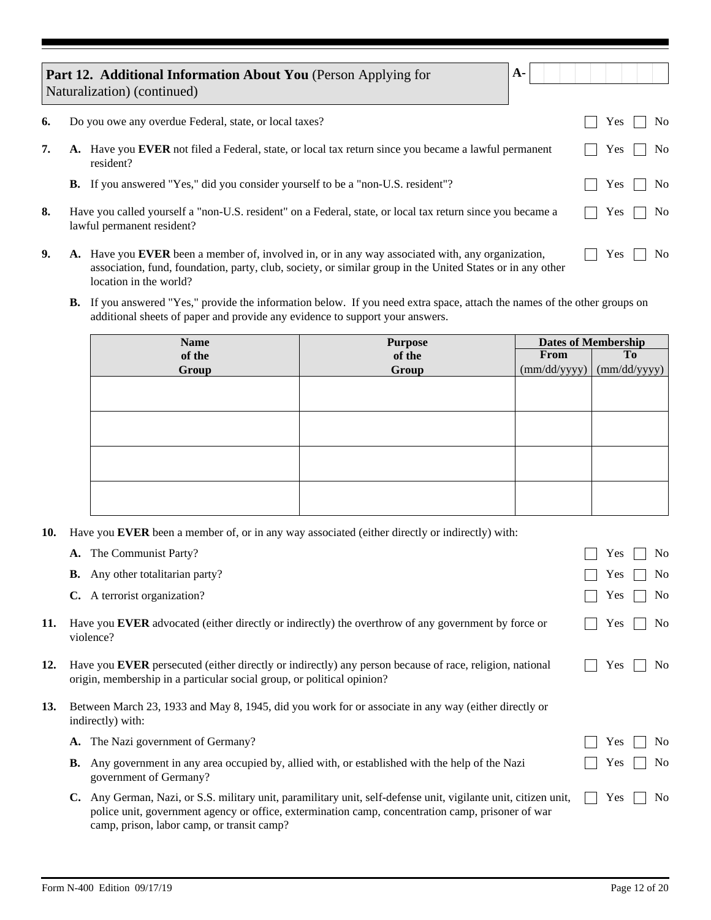|    | $A-$<br>Part 12. Additional Information About You (Person Applying for<br>Naturalization) (continued)                                                                                                          |            |                |
|----|----------------------------------------------------------------------------------------------------------------------------------------------------------------------------------------------------------------|------------|----------------|
| 6. | Do you owe any overdue Federal, state, or local taxes?                                                                                                                                                         | <b>Yes</b> | No.            |
| 7. | A. Have you EVER not filed a Federal, state, or local tax return since you became a lawful permanent<br>resident?                                                                                              | <b>Yes</b> | N <sub>o</sub> |
|    | <b>B.</b> If you answered "Yes," did you consider yourself to be a "non-U.S. resident"?                                                                                                                        | Yes        | No.            |
| 8. | Have you called yourself a "non-U.S. resident" on a Federal, state, or local tax return since you became a<br>lawful permanent resident?                                                                       | <b>Yes</b> | No.            |
| 9. | A. Have you EVER been a member of, involved in, or in any way associated with, any organization,<br>association, fund, foundation, party, club, society, or similar group in the United States or in any other | <b>Yes</b> | No.            |

**B.** If you answered "Yes," provide the information below. If you need extra space, attach the names of the other groups on additional sheets of paper and provide any evidence to support your answers.

| <b>Name</b> | <b>Purpose</b> | <b>Dates of Membership</b> |              |  |
|-------------|----------------|----------------------------|--------------|--|
| of the      | of the         | From                       | <b>To</b>    |  |
| Group       | Group          | (mm/dd/yyyy)               | (mm/dd/yyyy) |  |
|             |                |                            |              |  |
|             |                |                            |              |  |
|             |                |                            |              |  |
|             |                |                            |              |  |
|             |                |                            |              |  |
|             |                |                            |              |  |
|             |                |                            |              |  |
|             |                |                            |              |  |

**10.** Have you **EVER** been a member of, or in any way associated (either directly or indirectly) with:

|            | <b>A.</b> The Communist Party?                                                                                                                                                                                          | N <sub>0</sub><br>Yes        |
|------------|-------------------------------------------------------------------------------------------------------------------------------------------------------------------------------------------------------------------------|------------------------------|
|            | <b>B.</b> Any other totalitarian party?                                                                                                                                                                                 | Yes<br>N <sub>0</sub>        |
|            | C. A terrorist organization?                                                                                                                                                                                            | Yes<br>No                    |
| 11.        | Have you <b>EVER</b> advocated (either directly or indirectly) the overthrow of any government by force or<br>violence?                                                                                                 | <b>Yes</b><br>N <sub>0</sub> |
| 12.        | Have you EVER persecuted (either directly or indirectly) any person because of race, religion, national<br>origin, membership in a particular social group, or political opinion?                                       | N <sub>0</sub><br>Yes        |
| <b>13.</b> | Between March 23, 1933 and May 8, 1945, did you work for or associate in any way (either directly or<br>indirectly) with:                                                                                               |                              |
|            | A. The Nazi government of Germany?                                                                                                                                                                                      | No<br>Yes                    |
|            | <b>B.</b> Any government in any area occupied by, allied with, or established with the help of the Nazi<br>government of Germany?                                                                                       | N <sub>0</sub><br>Yes        |
|            | Any German, Nazi, or S.S. military unit, paramilitary unit, self-defense unit, vigilante unit, citizen unit,<br>C.<br>police unit, government agency or office, extermination camp, concentration camp, prisoner of war | Yes<br>N <sub>0</sub>        |

camp, prison, labor camp, or transit camp?

location in the world?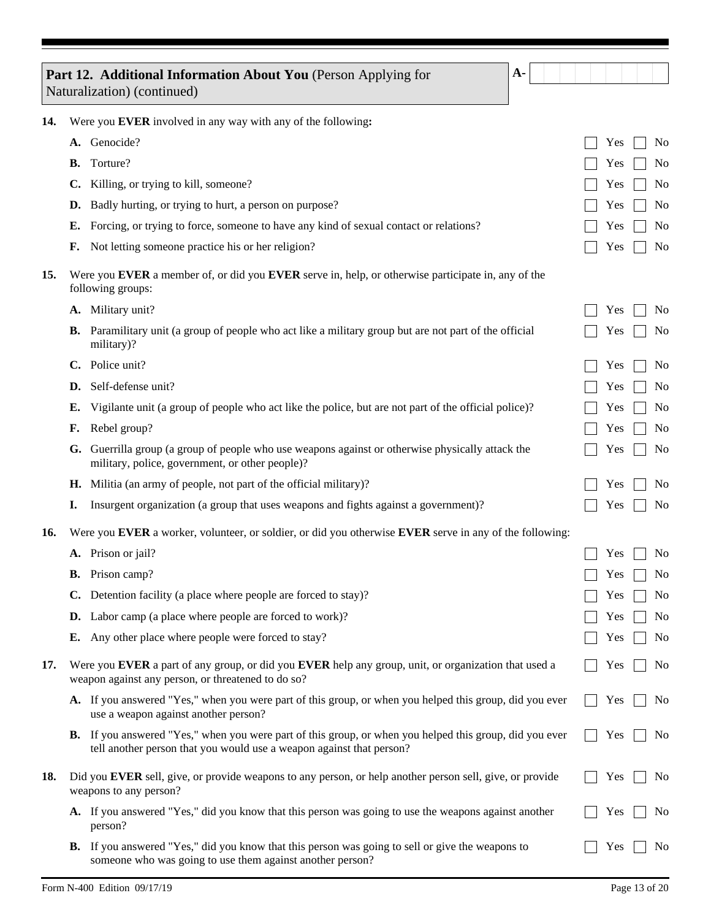|     |    | Part 12. Additional Information About You (Person Applying for<br>A-                                                                                                         |     |                |
|-----|----|------------------------------------------------------------------------------------------------------------------------------------------------------------------------------|-----|----------------|
|     |    | Naturalization) (continued)                                                                                                                                                  |     |                |
| 14. |    | Were you EVER involved in any way with any of the following:                                                                                                                 |     |                |
|     |    | A. Genocide?                                                                                                                                                                 | Yes | N <sub>0</sub> |
|     | В. | Torture?                                                                                                                                                                     | Yes | N <sub>0</sub> |
|     | C. | Killing, or trying to kill, someone?                                                                                                                                         | Yes | No             |
|     | D. | Badly hurting, or trying to hurt, a person on purpose?                                                                                                                       | Yes | N <sub>0</sub> |
|     | Е. | Forcing, or trying to force, someone to have any kind of sexual contact or relations?                                                                                        | Yes | No             |
|     | F. | Not letting someone practice his or her religion?                                                                                                                            | Yes | No             |
| 15. |    | Were you EVER a member of, or did you EVER serve in, help, or otherwise participate in, any of the<br>following groups:                                                      |     |                |
|     |    | A. Military unit?                                                                                                                                                            | Yes | N <sub>0</sub> |
|     | В. | Paramilitary unit (a group of people who act like a military group but are not part of the official<br>military)?                                                            | Yes | N <sub>0</sub> |
|     | C. | Police unit?                                                                                                                                                                 | Yes | N <sub>0</sub> |
|     | D. | Self-defense unit?                                                                                                                                                           | Yes | N <sub>0</sub> |
|     | Е. | Vigilante unit (a group of people who act like the police, but are not part of the official police)?                                                                         | Yes | No             |
|     | F. | Rebel group?                                                                                                                                                                 | Yes | N <sub>0</sub> |
|     | G. | Guerrilla group (a group of people who use weapons against or otherwise physically attack the<br>military, police, government, or other people)?                             | Yes | N <sub>0</sub> |
|     | Н. | Militia (an army of people, not part of the official military)?                                                                                                              | Yes | N <sub>0</sub> |
|     | I. | Insurgent organization (a group that uses weapons and fights against a government)?                                                                                          | Yes | N <sub>0</sub> |
| 16. |    | Were you EVER a worker, volunteer, or soldier, or did you otherwise EVER serve in any of the following:                                                                      |     |                |
|     |    | A. Prison or jail?                                                                                                                                                           | Yes | N <sub>0</sub> |
|     |    | <b>B.</b> Prison camp?                                                                                                                                                       | Yes | No             |
|     | C. | Detention facility (a place where people are forced to stay)?                                                                                                                | Yes | No             |
|     | D. | Labor camp (a place where people are forced to work)?                                                                                                                        | Yes | N <sub>0</sub> |
|     | Е. | Any other place where people were forced to stay?                                                                                                                            | Yes | No             |
| 17. |    | Were you EVER a part of any group, or did you EVER help any group, unit, or organization that used a<br>weapon against any person, or threatened to do so?                   | Yes | N <sub>0</sub> |
|     |    | A. If you answered "Yes," when you were part of this group, or when you helped this group, did you ever<br>use a weapon against another person?                              | Yes | No             |
|     | В. | If you answered "Yes," when you were part of this group, or when you helped this group, did you ever<br>tell another person that you would use a weapon against that person? | Yes | No             |
| 18. |    | Did you EVER sell, give, or provide weapons to any person, or help another person sell, give, or provide<br>weapons to any person?                                           | Yes | N <sub>0</sub> |
|     |    | A. If you answered "Yes," did you know that this person was going to use the weapons against another<br>person?                                                              | Yes | No             |
|     | В. | If you answered "Yes," did you know that this person was going to sell or give the weapons to<br>someone who was going to use them against another person?                   | Yes | N <sub>0</sub> |

Ξ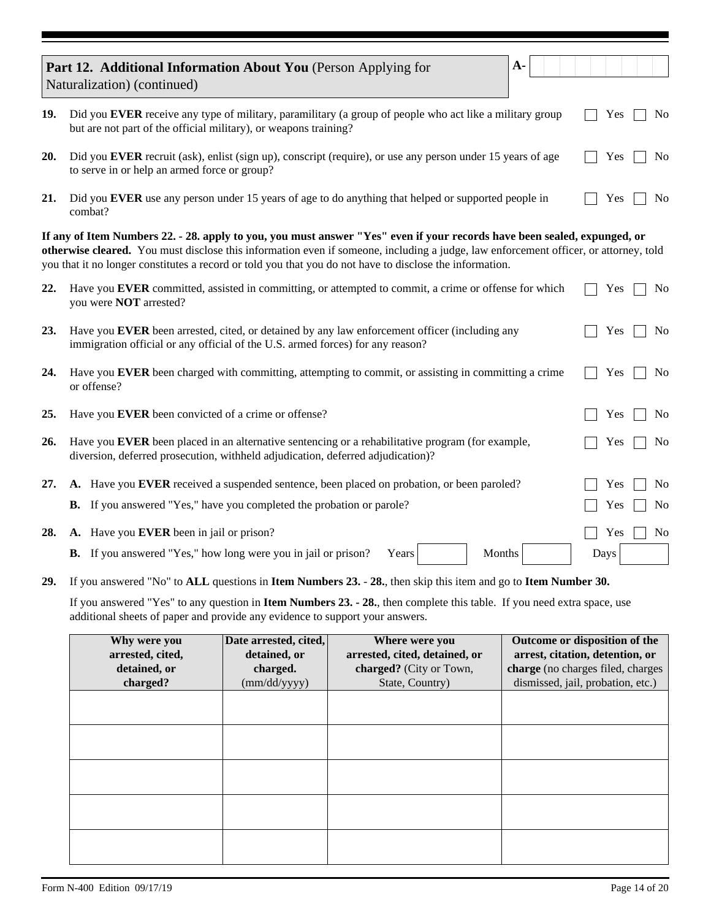|     | Part 12. Additional Information About You (Person Applying for<br>Naturalization) (continued)                                                                                                                |                                                                   |                                                                                                                                                                                                                                                                                                                                                                              | $A-$   |                                                                                                                                            |  |  |  |  |  |
|-----|--------------------------------------------------------------------------------------------------------------------------------------------------------------------------------------------------------------|-------------------------------------------------------------------|------------------------------------------------------------------------------------------------------------------------------------------------------------------------------------------------------------------------------------------------------------------------------------------------------------------------------------------------------------------------------|--------|--------------------------------------------------------------------------------------------------------------------------------------------|--|--|--|--|--|
| 19. | Did you EVER receive any type of military, paramilitary (a group of people who act like a military group<br>but are not part of the official military), or weapons training?                                 |                                                                   | Yes<br>N <sub>0</sub>                                                                                                                                                                                                                                                                                                                                                        |        |                                                                                                                                            |  |  |  |  |  |
| 20. | Did you EVER recruit (ask), enlist (sign up), conscript (require), or use any person under 15 years of age<br>Yes<br>N <sub>0</sub><br>to serve in or help an armed force or group?                          |                                                                   |                                                                                                                                                                                                                                                                                                                                                                              |        |                                                                                                                                            |  |  |  |  |  |
| 21. | Did you EVER use any person under 15 years of age to do anything that helped or supported people in<br>Yes<br>N <sub>0</sub><br>combat?                                                                      |                                                                   |                                                                                                                                                                                                                                                                                                                                                                              |        |                                                                                                                                            |  |  |  |  |  |
|     |                                                                                                                                                                                                              |                                                                   | If any of Item Numbers 22. - 28. apply to you, you must answer "Yes" even if your records have been sealed, expunged, or<br>otherwise cleared. You must disclose this information even if someone, including a judge, law enforcement officer, or attorney, told<br>you that it no longer constitutes a record or told you that you do not have to disclose the information. |        |                                                                                                                                            |  |  |  |  |  |
| 22. | you were <b>NOT</b> arrested?                                                                                                                                                                                |                                                                   | Have you EVER committed, assisted in committing, or attempted to commit, a crime or offense for which                                                                                                                                                                                                                                                                        |        | Yes<br>N <sub>0</sub>                                                                                                                      |  |  |  |  |  |
| 23. | immigration official or any official of the U.S. armed forces) for any reason?                                                                                                                               |                                                                   | Have you EVER been arrested, cited, or detained by any law enforcement officer (including any                                                                                                                                                                                                                                                                                |        | Yes<br>No                                                                                                                                  |  |  |  |  |  |
| 24. | or offense?                                                                                                                                                                                                  |                                                                   | Have you EVER been charged with committing, attempting to commit, or assisting in committing a crime                                                                                                                                                                                                                                                                         |        | Yes<br>N <sub>0</sub>                                                                                                                      |  |  |  |  |  |
| 25. | Have you EVER been convicted of a crime or offense?<br>Yes<br>N <sub>0</sub>                                                                                                                                 |                                                                   |                                                                                                                                                                                                                                                                                                                                                                              |        |                                                                                                                                            |  |  |  |  |  |
| 26. | Have you EVER been placed in an alternative sentencing or a rehabilitative program (for example,<br>Yes<br>N <sub>0</sub><br>diversion, deferred prosecution, withheld adjudication, deferred adjudication)? |                                                                   |                                                                                                                                                                                                                                                                                                                                                                              |        |                                                                                                                                            |  |  |  |  |  |
| 27. |                                                                                                                                                                                                              |                                                                   | A. Have you EVER received a suspended sentence, been placed on probation, or been paroled?                                                                                                                                                                                                                                                                                   |        | Yes<br>N <sub>0</sub>                                                                                                                      |  |  |  |  |  |
|     | <b>B.</b> If you answered "Yes," have you completed the probation or parole?                                                                                                                                 |                                                                   |                                                                                                                                                                                                                                                                                                                                                                              |        | Yes<br>N <sub>0</sub>                                                                                                                      |  |  |  |  |  |
| 28. | A. Have you EVER been in jail or prison?                                                                                                                                                                     |                                                                   |                                                                                                                                                                                                                                                                                                                                                                              |        | No<br>Yes                                                                                                                                  |  |  |  |  |  |
|     | <b>B.</b> If you answered "Yes," how long were you in jail or prison?                                                                                                                                        |                                                                   | Years                                                                                                                                                                                                                                                                                                                                                                        | Months | Days                                                                                                                                       |  |  |  |  |  |
| 29. |                                                                                                                                                                                                              |                                                                   | If you answered "No" to ALL questions in Item Numbers 23. - 28., then skip this item and go to Item Number 30.                                                                                                                                                                                                                                                               |        |                                                                                                                                            |  |  |  |  |  |
|     | additional sheets of paper and provide any evidence to support your answers.                                                                                                                                 |                                                                   | If you answered "Yes" to any question in Item Numbers 23. - 28., then complete this table. If you need extra space, use                                                                                                                                                                                                                                                      |        |                                                                                                                                            |  |  |  |  |  |
|     | Why were you<br>arrested, cited,<br>detained, or<br>charged?                                                                                                                                                 | Date arrested, cited,<br>detained, or<br>charged.<br>(mm/dd/yyyy) | <b>Where were you</b><br>arrested, cited, detained, or<br>charged? (City or Town,<br>State, Country)                                                                                                                                                                                                                                                                         |        | Outcome or disposition of the<br>arrest, citation, detention, or<br>charge (no charges filed, charges<br>dismissed, jail, probation, etc.) |  |  |  |  |  |
|     |                                                                                                                                                                                                              |                                                                   |                                                                                                                                                                                                                                                                                                                                                                              |        |                                                                                                                                            |  |  |  |  |  |
|     |                                                                                                                                                                                                              |                                                                   |                                                                                                                                                                                                                                                                                                                                                                              |        |                                                                                                                                            |  |  |  |  |  |
|     |                                                                                                                                                                                                              |                                                                   |                                                                                                                                                                                                                                                                                                                                                                              |        |                                                                                                                                            |  |  |  |  |  |
|     |                                                                                                                                                                                                              |                                                                   |                                                                                                                                                                                                                                                                                                                                                                              |        |                                                                                                                                            |  |  |  |  |  |
|     |                                                                                                                                                                                                              |                                                                   |                                                                                                                                                                                                                                                                                                                                                                              |        |                                                                                                                                            |  |  |  |  |  |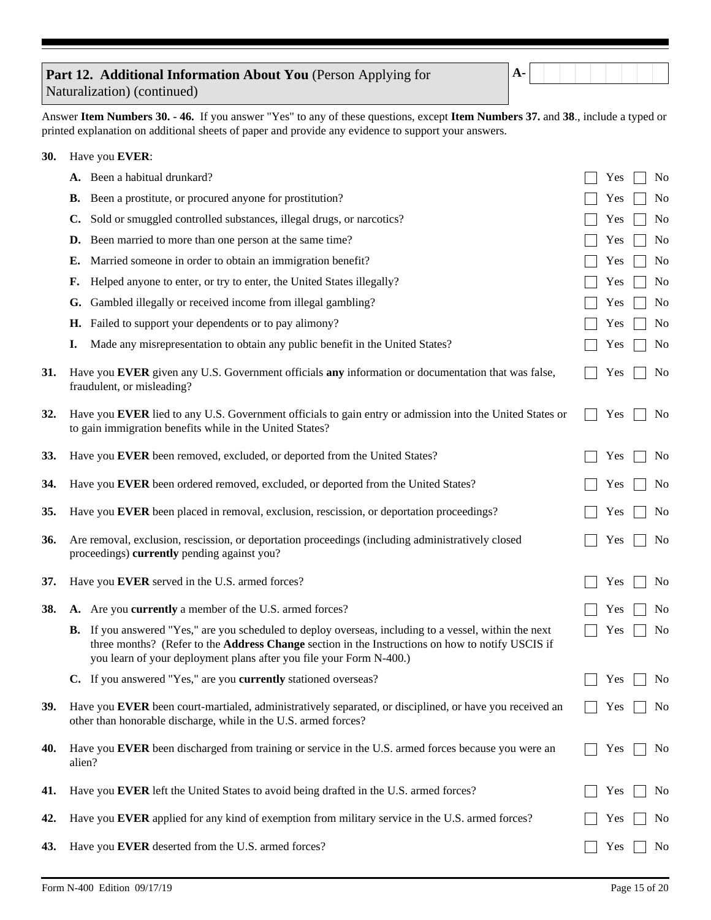| Part 12. Additional Information About You (Person Applying for |  |
|----------------------------------------------------------------|--|
| Naturalization) (continued)                                    |  |

**A-**

Answer **Item Numbers 30. - 46.** If you answer "Yes" to any of these questions, except **Item Numbers 37.** and **38**., include a typed or printed explanation on additional sheets of paper and provide any evidence to support your answers.

| <b>30.</b> | Have you EVER: |                                                                                                                                                                                                                                                                                          |  |     |                |
|------------|----------------|------------------------------------------------------------------------------------------------------------------------------------------------------------------------------------------------------------------------------------------------------------------------------------------|--|-----|----------------|
|            |                | A. Been a habitual drunkard?                                                                                                                                                                                                                                                             |  | Yes | N <sub>0</sub> |
|            | <b>B.</b>      | Been a prostitute, or procured anyone for prostitution?                                                                                                                                                                                                                                  |  | Yes | No             |
|            | $\mathbf{C}$   | Sold or smuggled controlled substances, illegal drugs, or narcotics?                                                                                                                                                                                                                     |  | Yes | No             |
|            | D.             | Been married to more than one person at the same time?                                                                                                                                                                                                                                   |  | Yes | No             |
|            | Е.             | Married someone in order to obtain an immigration benefit?                                                                                                                                                                                                                               |  | Yes | No             |
|            | F.             | Helped anyone to enter, or try to enter, the United States illegally?                                                                                                                                                                                                                    |  | Yes | No             |
|            | G.             | Gambled illegally or received income from illegal gambling?                                                                                                                                                                                                                              |  | Yes | No             |
|            | Н.             | Failed to support your dependents or to pay alimony?                                                                                                                                                                                                                                     |  | Yes | No             |
|            | I.             | Made any misrepresentation to obtain any public benefit in the United States?                                                                                                                                                                                                            |  | Yes | No             |
| 31.        |                | Have you EVER given any U.S. Government officials any information or documentation that was false,<br>fraudulent, or misleading?                                                                                                                                                         |  | Yes | No             |
| 32.        |                | Have you EVER lied to any U.S. Government officials to gain entry or admission into the United States or<br>to gain immigration benefits while in the United States?                                                                                                                     |  | Yes | No             |
| 33.        |                | Have you EVER been removed, excluded, or deported from the United States?                                                                                                                                                                                                                |  | Yes | N <sub>0</sub> |
| 34.        |                | Have you EVER been ordered removed, excluded, or deported from the United States?                                                                                                                                                                                                        |  | Yes | No             |
| 35.        |                | Have you EVER been placed in removal, exclusion, rescission, or deportation proceedings?                                                                                                                                                                                                 |  | Yes | No             |
| 36.        |                | Are removal, exclusion, rescission, or deportation proceedings (including administratively closed<br>proceedings) currently pending against you?                                                                                                                                         |  | Yes | No             |
| 37.        |                | Have you EVER served in the U.S. armed forces?                                                                                                                                                                                                                                           |  | Yes | No             |
| 38.        |                | A. Are you currently a member of the U.S. armed forces?                                                                                                                                                                                                                                  |  | Yes | No             |
|            |                | <b>B.</b> If you answered "Yes," are you scheduled to deploy overseas, including to a vessel, within the next<br>three months? (Refer to the Address Change section in the Instructions on how to notify USCIS if<br>you learn of your deployment plans after you file your Form N-400.) |  | Yes | No             |
|            |                | C. If you answered "Yes," are you currently stationed overseas?                                                                                                                                                                                                                          |  | Yes | No             |
| 39.        |                | Have you EVER been court-martialed, administratively separated, or disciplined, or have you received an<br>other than honorable discharge, while in the U.S. armed forces?                                                                                                               |  | Yes | No             |
| 40.        | alien?         | Have you EVER been discharged from training or service in the U.S. armed forces because you were an                                                                                                                                                                                      |  | Yes | N <sub>0</sub> |
| 41.        |                | Have you EVER left the United States to avoid being drafted in the U.S. armed forces?                                                                                                                                                                                                    |  | Yes | No             |
| 42.        |                | Have you EVER applied for any kind of exemption from military service in the U.S. armed forces?                                                                                                                                                                                          |  | Yes | No             |
| 43.        |                | Have you EVER deserted from the U.S. armed forces?                                                                                                                                                                                                                                       |  | Yes | No             |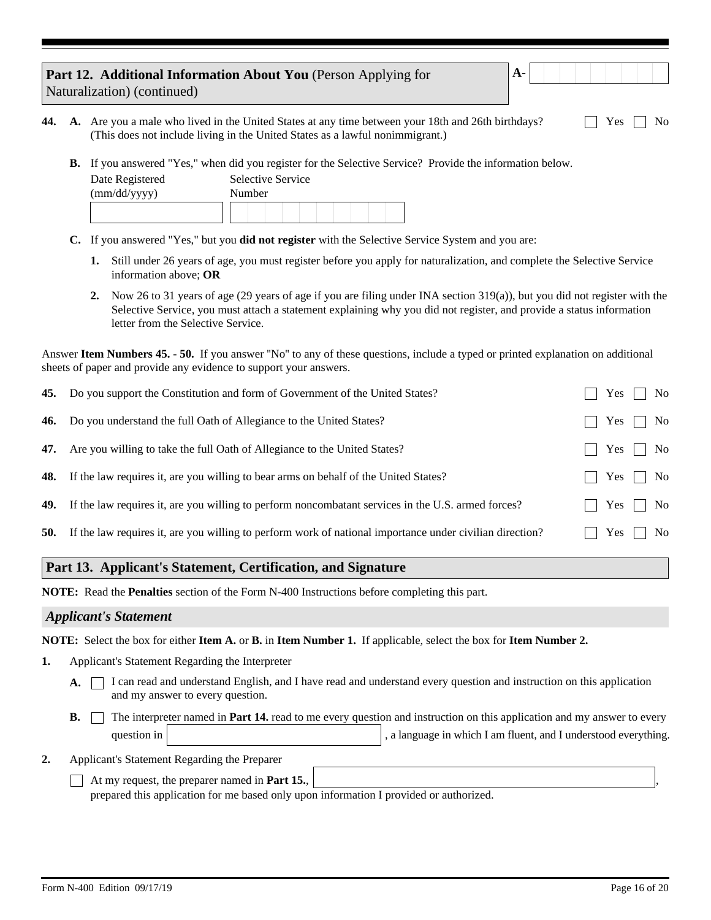| <b>Part 12. Additional Information About You</b> (Person Applying for |  |
|-----------------------------------------------------------------------|--|
| Naturalization) (continued)                                           |  |

|  | <b>44.</b> A. Are you a male who lived in the United States at any time between your 18th and 26th birthdays? | $\Box$ Yes $\Box$ No |
|--|---------------------------------------------------------------------------------------------------------------|----------------------|
|  | (This does not include living in the United States as a lawful nonimmigrant.)                                 |                      |

If you answered "Yes," when did you register for the Selective Service? Provide the information below. **B.**

| Date Registered | Selective Service |
|-----------------|-------------------|
| (mm/dd/yyyy)    | Number            |
|                 |                   |
|                 |                   |

- If you answered "Yes," but you **did not register** with the Selective Service System and you are: **C.**
	- **1.** Still under 26 years of age, you must register before you apply for naturalization, and complete the Selective Service information above; **OR**

**A-**

Now 26 to 31 years of age (29 years of age if you are filing under INA section 319(a)), but you did not register with the **2.** Selective Service, you must attach a statement explaining why you did not register, and provide a status information letter from the Selective Service.

Answer **Item Numbers 45. - 50.** If you answer ''No'' to any of these questions, include a typed or printed explanation on additional sheets of paper and provide any evidence to support your answers.

|            | <b>45.</b> Do you support the Constitution and form of Government of the United States?                       | Yes                   | No |
|------------|---------------------------------------------------------------------------------------------------------------|-----------------------|----|
|            | 46. Do you understand the full Oath of Allegiance to the United States?                                       | $Yes$                 | No |
|            | 47. Are you willing to take the full Oath of Allegiance to the United States?                                 | Yes  <br>$\mathbf{I}$ | No |
|            | <b>48.</b> If the law requires it, are you willing to bear arms on behalf of the United States?               | No<br>Yes             |    |
|            | <b>49.</b> If the law requires it, are you willing to perform noncombatant services in the U.S. armed forces? | Yes                   | No |
| <b>50.</b> | If the law requires it, are you willing to perform work of national importance under civilian direction?      | $Yes$                 | No |
|            |                                                                                                               |                       |    |

#### **Part 13. Applicant's Statement, Certification, and Signature**

**NOTE:** Read the **Penalties** section of the Form N-400 Instructions before completing this part.

#### *Applicant's Statement*

**NOTE:** Select the box for either **Item A.** or **B.** in **Item Number 1.** If applicable, select the box for **Item Number 2.**

- **1.** Applicant's Statement Regarding the Interpreter
	- I can read and understand English, and I have read and understand every question and instruction on this application and my answer to every question. **A.**
	- question in The interpreter named in **Part 14.** read to me every question and instruction on this application and my answer to every , a language in which I am fluent, and I understood everything. **B.**

Applicant's Statement Regarding the Preparer **2.**

> At my request, the preparer named in **Part 15.**, , prepared this application for me based only upon information I provided or authorized.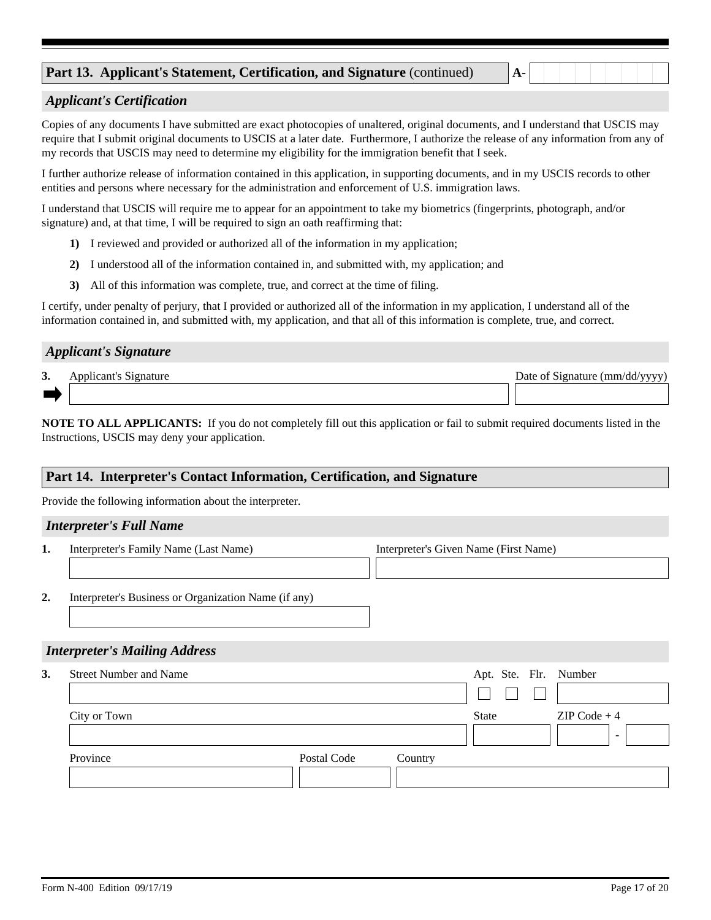# **Part 13. Applicant's Statement, Certification, and Signature** (continued) **A-**

## *Applicant's Certification*

Copies of any documents I have submitted are exact photocopies of unaltered, original documents, and I understand that USCIS may require that I submit original documents to USCIS at a later date. Furthermore, I authorize the release of any information from any of my records that USCIS may need to determine my eligibility for the immigration benefit that I seek.

I further authorize release of information contained in this application, in supporting documents, and in my USCIS records to other entities and persons where necessary for the administration and enforcement of U.S. immigration laws.

I understand that USCIS will require me to appear for an appointment to take my biometrics (fingerprints, photograph, and/or signature) and, at that time, I will be required to sign an oath reaffirming that:

- 1) I reviewed and provided or authorized all of the information in my application;
- 2) I understood all of the information contained in, and submitted with, my application; and
- All of this information was complete, true, and correct at the time of filing. **3)**

I certify, under penalty of perjury, that I provided or authorized all of the information in my application, I understand all of the information contained in, and submitted with, my application, and that all of this information is complete, true, and correct.

#### *Applicant's Signature*

| 3. | Annlıcant'<br>19 nature | f Signature (mm/dd/vvvv)<br>Date of .<br>. <i>.</i> . |
|----|-------------------------|-------------------------------------------------------|
|    |                         |                                                       |

**NOTE TO ALL APPLICANTS:** If you do not completely fill out this application or fail to submit required documents listed in the Instructions, USCIS may deny your application.

## **Part 14. Interpreter's Contact Information, Certification, and Signature**

Provide the following information about the interpreter.

#### *Interpreter's Full Name*

**1.** Interpreter's Family Name (Last Name) Interpreter's Given Name (First Name)

**2.** Interpreter's Business or Organization Name (if any)

#### *Interpreter's Mailing Address*

| 3. | <b>Street Number and Name</b> |             |         | Apt. Ste. Flr. Number |                |
|----|-------------------------------|-------------|---------|-----------------------|----------------|
|    |                               |             |         |                       |                |
|    | City or Town                  |             |         | <b>State</b>          | $ZIP Code + 4$ |
|    | Province                      | Postal Code | Country |                       |                |
|    |                               |             |         |                       |                |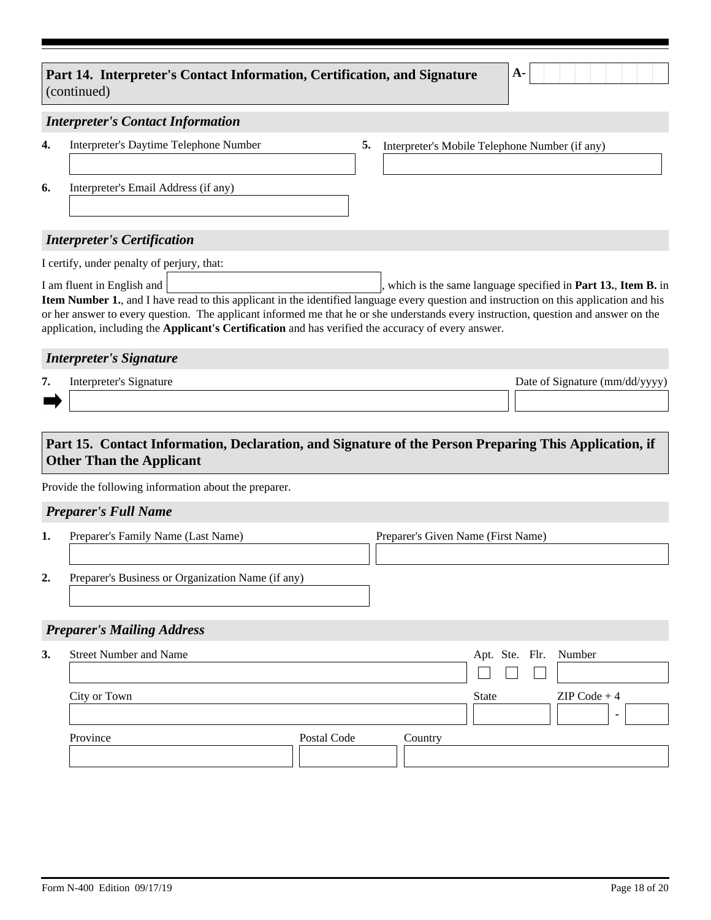# Part 14. Interpreter's Contact Information, Certification, and Signature <sup>| A</sup> (continued)

|--|

#### *Interpreter's Contact Information*

| 4. | Interpreter's Daytime Telephone Number                                                                                                                                                                                                                                                                                             | 5. | Interpreter's Mobile Telephone Number (if any) |
|----|------------------------------------------------------------------------------------------------------------------------------------------------------------------------------------------------------------------------------------------------------------------------------------------------------------------------------------|----|------------------------------------------------|
| 6. | Interpreter's Email Address (if any)                                                                                                                                                                                                                                                                                               |    |                                                |
|    | $\mathbf{L}$ $\mathbf{L}$ $\mathbf{L}$ $\mathbf{L}$ $\mathbf{L}$ $\mathbf{L}$ $\mathbf{L}$ $\mathbf{L}$ $\mathbf{L}$ $\mathbf{L}$ $\mathbf{L}$ $\mathbf{L}$ $\mathbf{L}$ $\mathbf{L}$ $\mathbf{L}$ $\mathbf{L}$ $\mathbf{L}$ $\mathbf{L}$ $\mathbf{L}$ $\mathbf{L}$ $\mathbf{L}$ $\mathbf{L}$ $\mathbf{L}$ $\mathbf{L}$ $\mathbf{$ |    |                                                |

## *Interpreter's Certification*

I certify, under penalty of perjury, that: I am fluent in English and  $\vert$ , which is the same language specified in **Part 13., Item B.** in **Item Number 1.**, and I have read to this applicant in the identified language every question and instruction on this application and his or her answer to every question. The applicant informed me that he or she understands every instruction, question and answer on the application, including the **Applicant's Certification** and has verified the accuracy of every answer.

#### *Interpreter's Signature*

Interpreter's Signature **Interpreter's Signature (mm/dd/yyyy)** Date of Signature (mm/dd/yyyy) **7.**

# **Part 15. Contact Information, Declaration, and Signature of the Person Preparing This Application, if Other Than the Applicant**

Provide the following information about the preparer.

## *Preparer's Full Name*

| Preparer's Family Name (Last Name)                | Preparer's Given Name (First Name) |
|---------------------------------------------------|------------------------------------|
|                                                   |                                    |
| Preparer's Business or Organization Name (if any) |                                    |

## *Preparer's Mailing Address*

| <b>Street Number and Name</b> |             |         | Apt. Ste. Flr. Number |                |
|-------------------------------|-------------|---------|-----------------------|----------------|
| City or Town                  |             |         | <b>State</b>          | $ZIP Code + 4$ |
| Province                      | Postal Code | Country |                       |                |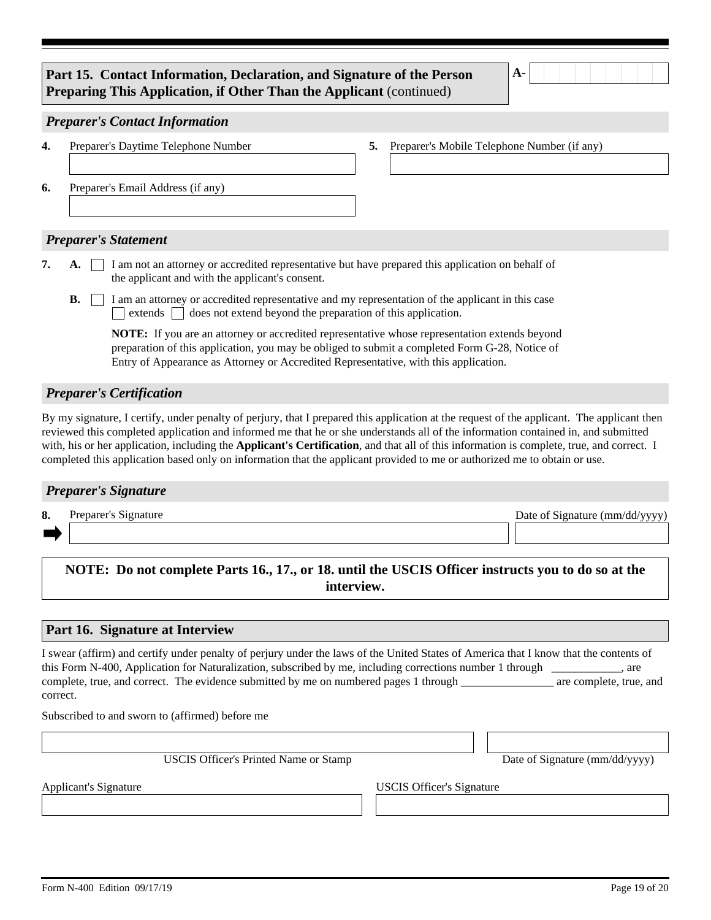# **Part 15. Contact Information, Declaration, and Signature of the Person A-Preparing This Application, if Other Than the Applicant** (continued)

#### *Preparer's Contact Information*

| 4. | Preparer's Daytime Telephone Number | 5. | Preparer's Mobile Telephone Number (if any) |
|----|-------------------------------------|----|---------------------------------------------|
|    |                                     |    |                                             |
| 6. | Preparer's Email Address (if any)   |    |                                             |
|    |                                     |    |                                             |
|    |                                     |    |                                             |
|    | <b>Preparer's Statement</b>         |    |                                             |

- A.  $\Box$  I am not an attorney or accredited representative but have prepared this application on behalf of the applicant and with the applicant's consent. **7.**
	- **B.**  $\Box$  I am an attorney or accredited representative and my representation of the applicant in this case extends  $\Box$  does not extend beyond the preparation of this application.

**NOTE:** If you are an attorney or accredited representative whose representation extends beyond preparation of this application, you may be obliged to submit a completed Form G-28, Notice of Entry of Appearance as Attorney or Accredited Representative, with this application.

# *Preparer's Certification*

By my signature, I certify, under penalty of perjury, that I prepared this application at the request of the applicant. The applicant then reviewed this completed application and informed me that he or she understands all of the information contained in, and submitted with, his or her application, including the **Applicant's Certification**, and that all of this information is complete, true, and correct. I completed this application based only on information that the applicant provided to me or authorized me to obtain or use.

## *Preparer's Signature*

Preparer's Signature Theorem 2012 Contract the Date of Signature (mm/dd/yyyy) **8.**

# **NOTE: Do not complete Parts 16., 17., or 18. until the USCIS Officer instructs you to do so at the interview.**

## **Part 16. Signature at Interview**

I swear (affirm) and certify under penalty of perjury under the laws of the United States of America that I know that the contents of this Form N-400, Application for Naturalization, subscribed by me, including corrections number 1 through  $\alpha$ , are complete, true, and correct. The evidence submitted by me on numbered pages 1 through are complete, true, and correct.

Subscribed to and sworn to (affirmed) before me

USCIS Officer's Printed Name or Stamp Date of Signature (mm/dd/yyyy)

Applicant's Signature **Internal Contract of the USCIS** Officer's Signature